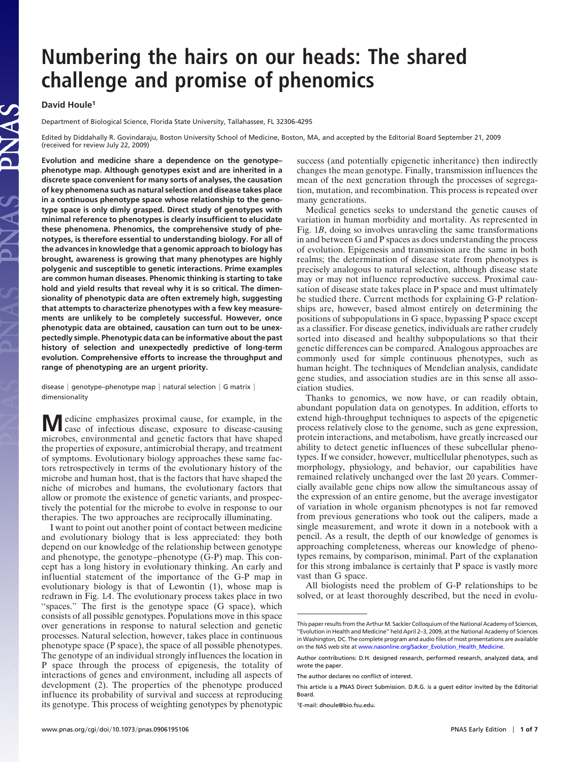# **Numbering the hairs on our heads: The shared challenge and promise of phenomics**

## **David Houle1**

Department of Biological Science, Florida State University, Tallahassee, FL 32306-4295

Edited by Diddahally R. Govindaraju, Boston University School of Medicine, Boston, MA, and accepted by the Editorial Board September 21, 2009 (received for review July 22, 2009)

**Evolution and medicine share a dependence on the genotype– phenotype map. Although genotypes exist and are inherited in a discrete space convenient for many sorts of analyses, the causation of key phenomena such as natural selection and disease takes place in a continuous phenotype space whose relationship to the genotype space is only dimly grasped. Direct study of genotypes with minimal reference to phenotypes is clearly insufficient to elucidate these phenomena. Phenomics, the comprehensive study of phenotypes, is therefore essential to understanding biology. For all of the advances in knowledge that a genomic approach to biology has brought, awareness is growing that many phenotypes are highly polygenic and susceptible to genetic interactions. Prime examples are common human diseases. Phenomic thinking is starting to take hold and yield results that reveal why it is so critical. The dimensionality of phenotypic data are often extremely high, suggesting that attempts to characterize phenotypes with a few key measurements are unlikely to be completely successful. However, once phenotypic data are obtained, causation can turn out to be unexpectedly simple. Phenotypic data can be informative about the past history of selection and unexpectedly predictive of long-term evolution. Comprehensive efforts to increase the throughput and range of phenotyping are an urgent priority.**

disease  $|$  genotype–phenotype map  $|$  natural selection  $|$  G matrix  $|$ dimensionality

**M**edicine emphasizes proximal cause, for example, in the case of infectious disease, exposure to disease-causing microbes, environmental and genetic factors that have shaped the properties of exposure, antimicrobial therapy, and treatment of symptoms. Evolutionary biology approaches these same factors retrospectively in terms of the evolutionary history of the microbe and human host, that is the factors that have shaped the niche of microbes and humans, the evolutionary factors that allow or promote the existence of genetic variants, and prospectively the potential for the microbe to evolve in response to our therapies. The two approaches are reciprocally illuminating.

I want to point out another point of contact between medicine and evolutionary biology that is less appreciated: they both depend on our knowledge of the relationship between genotype and phenotype, the genotype–phenotype (G-P) map. This concept has a long history in evolutionary thinking. An early and influential statement of the importance of the G-P map in evolutionary biology is that of Lewontin (1), whose map is redrawn in Fig. 1*A*. The evolutionary process takes place in two "spaces." The first is the genotype space (G space), which consists of all possible genotypes. Populations move in this space over generations in response to natural selection and genetic processes. Natural selection, however, takes place in continuous phenotype space (P space), the space of all possible phenotypes. The genotype of an individual strongly influences the location in P space through the process of epigenesis, the totality of interactions of genes and environment, including all aspects of development (2). The properties of the phenotype produced influence its probability of survival and success at reproducing its genotype. This process of weighting genotypes by phenotypic

success (and potentially epigenetic inheritance) then indirectly changes the mean genotype. Finally, transmission influences the mean of the next generation through the processes of segregation, mutation, and recombination. This process is repeated over many generations.

Medical genetics seeks to understand the genetic causes of variation in human morbidity and mortality. As represented in Fig. 1*B*, doing so involves unraveling the same transformations in and between G and P spaces as does understanding the process of evolution. Epigenesis and transmission are the same in both realms; the determination of disease state from phenotypes is precisely analogous to natural selection, although disease state may or may not influence reproductive success. Proximal causation of disease state takes place in P space and must ultimately be studied there. Current methods for explaining G-P relationships are, however, based almost entirely on determining the positions of subpopulations in G space, bypassing P space except as a classifier. For disease genetics, individuals are rather crudely sorted into diseased and healthy subpopulations so that their genetic differences can be compared. Analogous approaches are commonly used for simple continuous phenotypes, such as human height. The techniques of Mendelian analysis, candidate gene studies, and association studies are in this sense all association studies.

Thanks to genomics, we now have, or can readily obtain, abundant population data on genotypes. In addition, efforts to extend high-throughput techniques to aspects of the epigenetic process relatively close to the genome, such as gene expression, protein interactions, and metabolism, have greatly increased our ability to detect genetic influences of these subcellular phenotypes. If we consider, however, multicellular phenotypes, such as morphology, physiology, and behavior, our capabilities have remained relatively unchanged over the last 20 years. Commercially available gene chips now allow the simultaneous assay of the expression of an entire genome, but the average investigator of variation in whole organism phenotypes is not far removed from previous generations who took out the calipers, made a single measurement, and wrote it down in a notebook with a pencil. As a result, the depth of our knowledge of genomes is approaching completeness, whereas our knowledge of phenotypes remains, by comparison, minimal. Part of the explanation for this strong imbalance is certainly that P space is vastly more vast than G space.

All biologists need the problem of G-P relationships to be solved, or at least thoroughly described, but the need in evolu-

This paper results from the Arthur M. Sackler Colloquium of the National Academy of Sciences, ''Evolution in Health and Medicine'' held April 2–3, 2009, at the National Academy of Sciences in Washington, DC. The complete program and audio files of most presentations are available on the NAS web site at [www.nasonline.org/Sacker\\_Evolution\\_Health\\_Medicine.](http://www.nasonline.org/Sackler_Evolution_Health_Medicine)

Author contributions: D.H. designed research, performed research, analyzed data, and wrote the paper.

The author declares no conflict of interest.

This article is a PNAS Direct Submission. D.R.G. is a guest editor invited by the Editorial Board.

<sup>1</sup>E-mail: dhoule@bio.fsu.edu.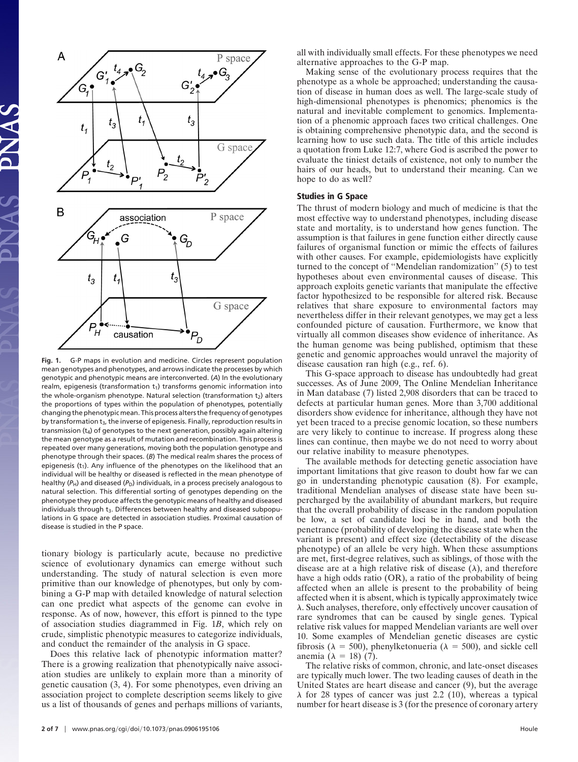

**Fig. 1.** G-P maps in evolution and medicine. Circles represent population mean genotypes and phenotypes, and arrows indicate the processes by which genotypic and phenotypic means are interconverted. (*A*) In the evolutionary realm, epigenesis (transformation  $t_1$ ) transforms genomic information into the whole-organism phenotype. Natural selection (transformation t2) alters the proportions of types within the population of phenotypes, potentially changing the phenotypic mean. This process alters the frequency of genotypes by transformation t<sub>3</sub>, the inverse of epigenesis. Finally, reproduction results in transmission  $(t_4)$  of genotypes to the next generation, possibly again altering the mean genotype as a result of mutation and recombination. This process is repeated over many generations, moving both the population genotype and phenotype through their spaces. (*B*) The medical realm shares the process of epigenesis  $(t_1)$ . Any influence of the phenotypes on the likelihood that an individual will be healthy or diseased is reflected in the mean phenotype of healthy  $(P_H)$  and diseased  $(P_D)$  individuals, in a process precisely analogous to natural selection. This differential sorting of genotypes depending on the phenotype they produce affects the genotypic means of healthy and diseased individuals through t<sub>3</sub>. Differences between healthy and diseased subpopulations in G space are detected in association studies. Proximal causation of disease is studied in the P space.

tionary biology is particularly acute, because no predictive science of evolutionary dynamics can emerge without such understanding. The study of natural selection is even more primitive than our knowledge of phenotypes, but only by combining a G-P map with detailed knowledge of natural selection can one predict what aspects of the genome can evolve in response. As of now, however, this effort is pinned to the type of association studies diagrammed in Fig. 1*B*, which rely on crude, simplistic phenotypic measures to categorize individuals, and conduct the remainder of the analysis in G space.

Does this relative lack of phenotypic information matter? There is a growing realization that phenotypically naive association studies are unlikely to explain more than a minority of genetic causation (3, 4). For some phenotypes, even driving an association project to complete description seems likely to give us a list of thousands of genes and perhaps millions of variants,

all with individually small effects. For these phenotypes we need alternative approaches to the G-P map.

Making sense of the evolutionary process requires that the phenotype as a whole be approached; understanding the causation of disease in human does as well. The large-scale study of high-dimensional phenotypes is phenomics; phenomics is the natural and inevitable complement to genomics. Implementation of a phenomic approach faces two critical challenges. One is obtaining comprehensive phenotypic data, and the second is learning how to use such data. The title of this article includes a quotation from Luke 12:7, where God is ascribed the power to evaluate the tiniest details of existence, not only to number the hairs of our heads, but to understand their meaning. Can we hope to do as well?

## **Studies in G Space**

The thrust of modern biology and much of medicine is that the most effective way to understand phenotypes, including disease state and mortality, is to understand how genes function. The assumption is that failures in gene function either directly cause failures of organismal function or mimic the effects of failures with other causes. For example, epidemiologists have explicitly turned to the concept of ''Mendelian randomization'' (5) to test hypotheses about even environmental causes of disease. This approach exploits genetic variants that manipulate the effective factor hypothesized to be responsible for altered risk. Because relatives that share exposure to environmental factors may nevertheless differ in their relevant genotypes, we may get a less confounded picture of causation. Furthermore, we know that virtually all common diseases show evidence of inheritance. As the human genome was being published, optimism that these genetic and genomic approaches would unravel the majority of disease causation ran high (e.g., ref. 6).

This G-space approach to disease has undoubtedly had great successes. As of June 2009, The Online Mendelian Inheritance in Man database (7) listed 2,908 disorders that can be traced to defects at particular human genes. More than 3,700 additional disorders show evidence for inheritance, although they have not yet been traced to a precise genomic location, so these numbers are very likely to continue to increase. If progress along these lines can continue, then maybe we do not need to worry about our relative inability to measure phenotypes.

The available methods for detecting genetic association have important limitations that give reason to doubt how far we can go in understanding phenotypic causation (8). For example, traditional Mendelian analyses of disease state have been supercharged by the availability of abundant markers, but require that the overall probability of disease in the random population be low, a set of candidate loci be in hand, and both the penetrance (probability of developing the disease state when the variant is present) and effect size (detectability of the disease phenotype) of an allele be very high. When these assumptions are met, first-degree relatives, such as siblings, of those with the disease are at a high relative risk of disease  $(\lambda)$ , and therefore have a high odds ratio (OR), a ratio of the probability of being affected when an allele is present to the probability of being affected when it is absent, which is typically approximately twice . Such analyses, therefore, only effectively uncover causation of rare syndromes that can be caused by single genes. Typical relative risk values for mapped Mendelian variants are well over 10. Some examples of Mendelian genetic diseases are cystic fibrosis ( $\lambda = 500$ ), phenylketonueria ( $\lambda = 500$ ), and sickle cell anemia ( $\lambda = 18$ ) (7).

The relative risks of common, chronic, and late-onset diseases are typically much lower. The two leading causes of death in the United States are heart disease and cancer (9), but the average  $\lambda$  for 28 types of cancer was just 2.2 (10), whereas a typical number for heart disease is 3 (for the presence of coronary artery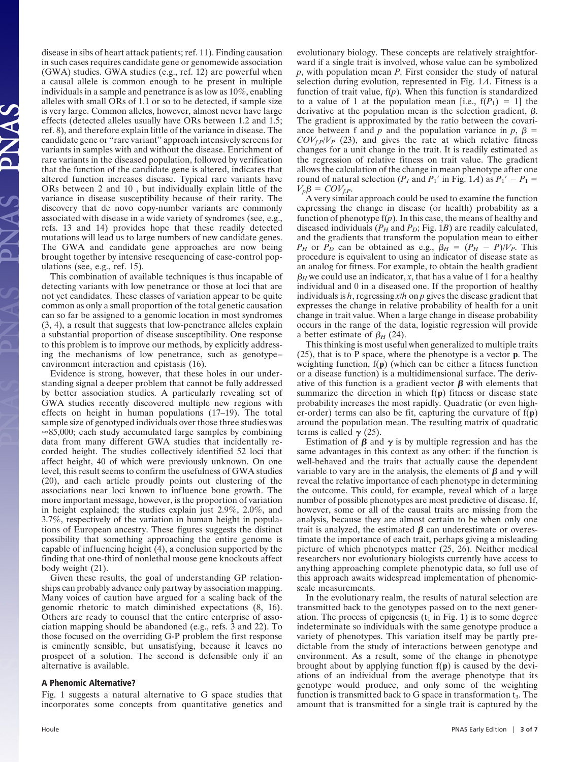disease in sibs of heart attack patients; ref. 11). Finding causation in such cases requires candidate gene or genomewide association (GWA) studies. GWA studies (e.g., ref. 12) are powerful when a causal allele is common enough to be present in multiple individuals in a sample and penetrance is as low as 10%, enabling alleles with small ORs of 1.1 or so to be detected, if sample size is very large. Common alleles, however, almost never have large effects (detected alleles usually have ORs between 1.2 and 1.5; ref. 8), and therefore explain little of the variance in disease. The candidate gene or ''rare variant'' approach intensively screens for variants in samples with and without the disease. Enrichment of rare variants in the diseased population, followed by verification that the function of the candidate gene is altered, indicates that altered function increases disease. Typical rare variants have ORs between 2 and 10 , but individually explain little of the variance in disease susceptibility because of their rarity. The discovery that de novo copy-number variants are commonly associated with disease in a wide variety of syndromes (see, e.g., refs. 13 and 14) provides hope that these readily detected mutations will lead us to large numbers of new candidate genes. The GWA and candidate gene approaches are now being brought together by intensive resequencing of case-control populations (see, e.g., ref. 15).

This combination of available techniques is thus incapable of detecting variants with low penetrance or those at loci that are not yet candidates. These classes of variation appear to be quite common as only a small proportion of the total genetic causation can so far be assigned to a genomic location in most syndromes (3, 4), a result that suggests that low-penetrance alleles explain a substantial proportion of disease susceptibility. One response to this problem is to improve our methods, by explicitly addressing the mechanisms of low penetrance, such as genotype– environment interaction and epistasis (16).

Evidence is strong, however, that these holes in our understanding signal a deeper problem that cannot be fully addressed by better association studies. A particularly revealing set of GWA studies recently discovered multiple new regions with effects on height in human populations (17–19). The total sample size of genotyped individuals over those three studies was  $\approx$ 85,000; each study accumulated large samples by combining data from many different GWA studies that incidentally recorded height. The studies collectively identified 52 loci that affect height, 40 of which were previously unknown. On one level, this result seems to confirm the usefulness of GWA studies (20), and each article proudly points out clustering of the associations near loci known to influence bone growth. The more important message, however, is the proportion of variation in height explained; the studies explain just 2.9%, 2.0%, and 3.7%, respectively of the variation in human height in populations of European ancestry. These figures suggests the distinct possibility that something approaching the entire genome is capable of influencing height (4), a conclusion supported by the finding that one-third of nonlethal mouse gene knockouts affect body weight (21).

Given these results, the goal of understanding GP relationships can probably advance only partway by association mapping. Many voices of caution have argued for a scaling back of the genomic rhetoric to match diminished expectations (8, 16). Others are ready to counsel that the entire enterprise of association mapping should be abandoned (e.g., refs. 3 and 22). To those focused on the overriding G-P problem the first response is eminently sensible, but unsatisfying, because it leaves no prospect of a solution. The second is defensible only if an alternative is available.

### **A Phenomic Alternative?**

Fig. 1 suggests a natural alternative to G space studies that incorporates some concepts from quantitative genetics and evolutionary biology. These concepts are relatively straightforward if a single trait is involved, whose value can be symbolized *p*, with population mean *P*. First consider the study of natural selection during evolution, represented in Fig. 1*A*. Fitness is a function of trait value,  $f(p)$ . When this function is standardized to a value of 1 at the population mean [i.e.,  $f(P_1) = 1$ ] the derivative at the population mean is the selection gradient,  $\beta$ . The gradient is approximated by the ratio between the covariance between f and p and the population variance in  $p$ ,  $\beta$  =  $COV_{f,P}/V_P$  (23), and gives the rate at which relative fitness changes for a unit change in the trait. It is readily estimated as the regression of relative fitness on trait value. The gradient allows the calculation of the change in mean phenotype after one round of natural selection ( $P_1$  and  $P_1$ ' in Fig. 1*A*) as  $P_1' - P_1 =$  $V_p \beta = COV_{f,P}$ .

A very similar approach could be used to examine the function expressing the change in disease (or health) probability as a function of phenotype f(*p*). In this case, the means of healthy and diseased individuals  $(P_H \text{ and } P_D; \text{ Fig. 1B})$  are readily calculated, and the gradients that transform the population mean to either  $P_H$  or  $P_D$  can be obtained as e.g.,  $\beta_H = (P_H - P)/V_P$ . This procedure is equivalent to using an indicator of disease state as an analog for fitness. For example, to obtain the health gradient  $\beta_H$  we could use an indicator, *x*, that has a value of 1 for a healthy individual and 0 in a diseased one. If the proportion of healthy individuals is *h*, regressing *x*/*h* on *p* gives the disease gradient that expresses the change in relative probability of health for a unit change in trait value. When a large change in disease probability occurs in the range of the data, logistic regression will provide a better estimate of  $\beta_H$  (24).

This thinking is most useful when generalized to multiple traits (25), that is to P space, where the phenotype is a vector **p**. The weighting function, f(**p**) (which can be either a fitness function or a disease function) is a multidimensional surface. The derivative of this function is a gradient vector  $\beta$  with elements that summarize the direction in which f(**p**) fitness or disease state probability increases the most rapidly. Quadratic (or even higher-order) terms can also be fit, capturing the curvature of f(**p**) around the population mean. The resulting matrix of quadratic terms is called  $\gamma$  (25).

Estimation of  $\beta$  and  $\gamma$  is by multiple regression and has the same advantages in this context as any other: if the function is well-behaved and the traits that actually cause the dependent variable to vary are in the analysis, the elements of  $\beta$  and  $\gamma$  will reveal the relative importance of each phenotype in determining the outcome. This could, for example, reveal which of a large number of possible phenotypes are most predictive of disease. If, however, some or all of the causal traits are missing from the analysis, because they are almost certain to be when only one trait is analyzed, the estimated  $\beta$  can underestimate or overestimate the importance of each trait, perhaps giving a misleading picture of which phenotypes matter (25, 26). Neither medical researchers nor evolutionary biologists currently have access to anything approaching complete phenotypic data, so full use of this approach awaits widespread implementation of phenomicscale measurements.

In the evolutionary realm, the results of natural selection are transmitted back to the genotypes passed on to the next generation. The process of epigenesis  $(t_1$  in Fig. 1) is to some degree indeterminate so individuals with the same genotype produce a variety of phenotypes. This variation itself may be partly predictable from the study of interactions between genotype and environment. As a result, some of the change in phenotype brought about by applying function f(**p**) is caused by the deviations of an individual from the average phenotype that its genotype would produce, and only some of the weighting function is transmitted back to G space in transformation  $t_3$ . The amount that is transmitted for a single trait is captured by the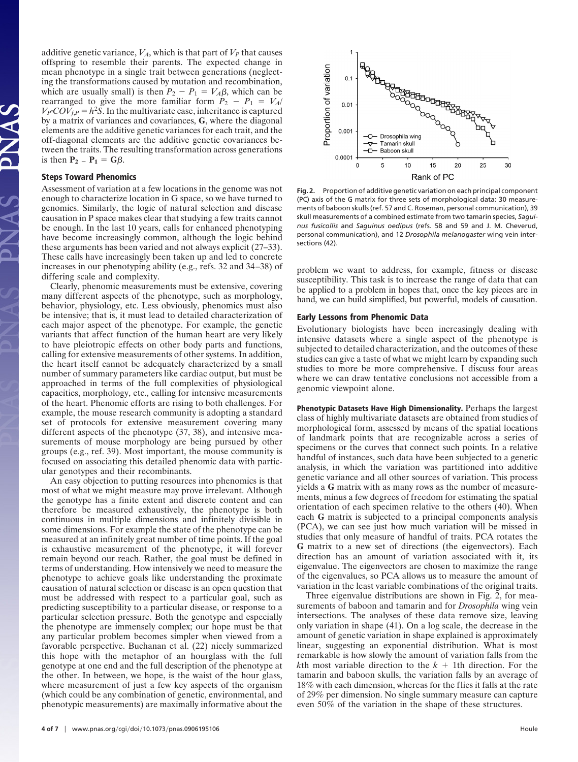additive genetic variance,  $V_A$ , which is that part of  $V_P$  that causes offspring to resemble their parents. The expected change in mean phenotype in a single trait between generations (neglecting the transformations caused by mutation and recombination, which are usually small) is then  $P_2 - P_1 = V_A \beta$ , which can be rearranged to give the more familiar form  $P_2 - P_1 = V_A$  $V_P$ <sup>*COV<sub>f,P</sub>* =  $h^2$ *S*. In the multivariate case, inheritance is captured</sup> by a matrix of variances and covariances, **G**, where the diagonal elements are the additive genetic variances for each trait, and the off-diagonal elements are the additive genetic covariances between the traits. The resulting transformation across generations is then  $P_2 - P_1 = G\beta$ .

#### **Steps Toward Phenomics**

Assessment of variation at a few locations in the genome was not enough to characterize location in G space, so we have turned to genomics. Similarly, the logic of natural selection and disease causation in P space makes clear that studying a few traits cannot be enough. In the last 10 years, calls for enhanced phenotyping have become increasingly common, although the logic behind these arguments has been varied and not always explicit (27–33). These calls have increasingly been taken up and led to concrete increases in our phenotyping ability (e.g., refs. 32 and 34–38) of differing scale and complexity.

Clearly, phenomic measurements must be extensive, covering many different aspects of the phenotype, such as morphology, behavior, physiology, etc. Less obviously, phenomics must also be intensive; that is, it must lead to detailed characterization of each major aspect of the phenotype. For example, the genetic variants that affect function of the human heart are very likely to have pleiotropic effects on other body parts and functions, calling for extensive measurements of other systems. In addition, the heart itself cannot be adequately characterized by a small number of summary parameters like cardiac output, but must be approached in terms of the full complexities of physiological capacities, morphology, etc., calling for intensive measurements of the heart. Phenomic efforts are rising to both challenges. For example, the mouse research community is adopting a standard set of protocols for extensive measurement covering many different aspects of the phenotype (37, 38), and intensive measurements of mouse morphology are being pursued by other groups (e.g., ref. 39). Most important, the mouse community is focused on associating this detailed phenomic data with particular genotypes and their recombinants.

An easy objection to putting resources into phenomics is that most of what we might measure may prove irrelevant. Although the genotype has a finite extent and discrete content and can therefore be measured exhaustively, the phenotype is both continuous in multiple dimensions and infinitely divisible in some dimensions. For example the state of the phenotype can be measured at an infinitely great number of time points. If the goal is exhaustive measurement of the phenotype, it will forever remain beyond our reach. Rather, the goal must be defined in terms of understanding. How intensively we need to measure the phenotype to achieve goals like understanding the proximate causation of natural selection or disease is an open question that must be addressed with respect to a particular goal, such as predicting susceptibility to a particular disease, or response to a particular selection pressure. Both the genotype and especially the phenotype are immensely complex; our hope must be that any particular problem becomes simpler when viewed from a favorable perspective. Buchanan et al. (22) nicely summarized this hope with the metaphor of an hourglass with the full genotype at one end and the full description of the phenotype at the other. In between, we hope, is the waist of the hour glass, where measurement of just a few key aspects of the organism (which could be any combination of genetic, environmental, and phenotypic measurements) are maximally informative about the



**Fig. 2.** Proportion of additive genetic variation on each principal component (PC) axis of the G matrix for three sets of morphological data: 30 measurements of baboon skulls (ref. 57 and C. Roseman, personal communication), 39 skull measurements of a combined estimate from two tamarin species, *Saguinus fusicollis* and *Saguinus oedipus* (refs. 58 and 59 and J. M. Cheverud, personal communication), and 12 *Drosophila melanogaster* wing vein intersections (42).

problem we want to address, for example, fitness or disease susceptibility. This task is to increase the range of data that can be applied to a problem in hopes that, once the key pieces are in hand, we can build simplified, but powerful, models of causation.

#### **Early Lessons from Phenomic Data**

Evolutionary biologists have been increasingly dealing with intensive datasets where a single aspect of the phenotype is subjected to detailed characterization, and the outcomes of these studies can give a taste of what we might learn by expanding such studies to more be more comprehensive. I discuss four areas where we can draw tentative conclusions not accessible from a genomic viewpoint alone.

**Phenotypic Datasets Have High Dimensionality.** Perhaps the largest class of highly multivariate datasets are obtained from studies of morphological form, assessed by means of the spatial locations of landmark points that are recognizable across a series of specimens or the curves that connect such points. In a relative handful of instances, such data have been subjected to a genetic analysis, in which the variation was partitioned into additive genetic variance and all other sources of variation. This process yields a **G** matrix with as many rows as the number of measurements, minus a few degrees of freedom for estimating the spatial orientation of each specimen relative to the others (40). When each **G** matrix is subjected to a principal components analysis (PCA), we can see just how much variation will be missed in studies that only measure of handful of traits. PCA rotates the **G** matrix to a new set of directions (the eigenvectors). Each direction has an amount of variation associated with it, its eigenvalue. The eigenvectors are chosen to maximize the range of the eigenvalues, so PCA allows us to measure the amount of variation in the least variable combinations of the original traits.

Three eigenvalue distributions are shown in Fig. 2, for measurements of baboon and tamarin and for *Drosophila* wing vein intersections. The analyses of these data remove size, leaving only variation in shape (41). On a log scale, the decrease in the amount of genetic variation in shape explained is approximately linear, suggesting an exponential distribution. What is most remarkable is how slowly the amount of variation falls from the *k*th most variable direction to the  $k + 1$ th direction. For the tamarin and baboon skulls, the variation falls by an average of 18% with each dimension, whereas for the flies it falls at the rate of 29% per dimension. No single summary measure can capture even 50% of the variation in the shape of these structures.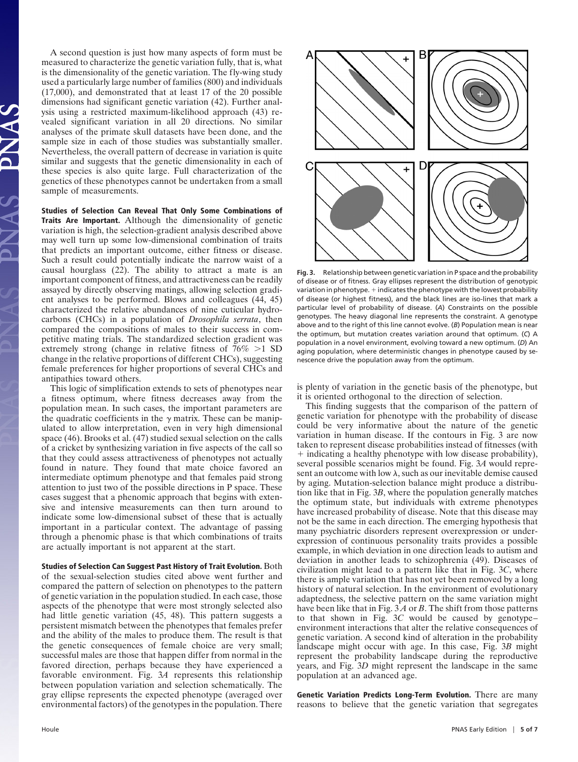A second question is just how many aspects of form must be measured to characterize the genetic variation fully, that is, what is the dimensionality of the genetic variation. The fly-wing study used a particularly large number of families (800) and individuals (17,000), and demonstrated that at least 17 of the 20 possible dimensions had significant genetic variation (42). Further analysis using a restricted maximum-likelihood approach (43) revealed significant variation in all 20 directions. No similar analyses of the primate skull datasets have been done, and the sample size in each of those studies was substantially smaller. Nevertheless, the overall pattern of decrease in variation is quite similar and suggests that the genetic dimensionality in each of these species is also quite large. Full characterization of the genetics of these phenotypes cannot be undertaken from a small sample of measurements.

**Studies of Selection Can Reveal That Only Some Combinations of Traits Are Important.** Although the dimensionality of genetic variation is high, the selection-gradient analysis described above may well turn up some low-dimensional combination of traits that predicts an important outcome, either fitness or disease. Such a result could potentially indicate the narrow waist of a causal hourglass  $(22)$ . The ability to attract a mate is an important component of fitness, and attractiveness can be readily assayed by directly observing matings, allowing selection gradient analyses to be performed. Blows and colleagues (44, 45) characterized the relative abundances of nine cuticular hydrocarbons (CHCs) in a population of *Drosophila serrata*, then compared the compositions of males to their success in competitive mating trials. The standardized selection gradient was extremely strong (change in relative fitness of  $76\% > 1$  SD change in the relative proportions of different CHCs), suggesting female preferences for higher proportions of several CHCs and antipathies toward others.

This logic of simplification extends to sets of phenotypes near a fitness optimum, where fitness decreases away from the population mean. In such cases, the important parameters are the quadratic coefficients in the  $\gamma$  matrix. These can be manipulated to allow interpretation, even in very high dimensional space (46). Brooks et al. (47) studied sexual selection on the calls of a cricket by synthesizing variation in five aspects of the call so that they could assess attractiveness of phenotypes not actually found in nature. They found that mate choice favored an intermediate optimum phenotype and that females paid strong attention to just two of the possible directions in P space. These cases suggest that a phenomic approach that begins with extensive and intensive measurements can then turn around to indicate some low-dimensional subset of these that is actually important in a particular context. The advantage of passing through a phenomic phase is that which combinations of traits are actually important is not apparent at the start.

**Studies of Selection Can Suggest Past History of Trait Evolution.** Both of the sexual-selection studies cited above went further and compared the pattern of selection on phenotypes to the pattern of genetic variation in the population studied. In each case, those aspects of the phenotype that were most strongly selected also had little genetic variation (45, 48). This pattern suggests a persistent mismatch between the phenotypes that females prefer and the ability of the males to produce them. The result is that the genetic consequences of female choice are very small; successful males are those that happen differ from normal in the favored direction, perhaps because they have experienced a favorable environment. Fig. 3*A* represents this relationship between population variation and selection schematically. The gray ellipse represents the expected phenotype (averaged over environmental factors) of the genotypes in the population. There



**Fig. 3.** Relationship between genetic variation in P space and the probability of disease or of fitness. Gray ellipses represent the distribution of genotypic variation in phenotype.  $+$  indicates the phenotype with the lowest probability of disease (or highest fitness), and the black lines are iso-lines that mark a particular level of probability of disease. (*A*) Constraints on the possible genotypes. The heavy diagonal line represents the constraint. A genotype above and to the right of this line cannot evolve. (*B*) Population mean is near the optimum, but mutation creates variation around that optimum. (*C*) A population in a novel environment, evolving toward a new optimum. (*D*) An aging population, where deterministic changes in phenotype caused by senescence drive the population away from the optimum.

is plenty of variation in the genetic basis of the phenotype, but it is oriented orthogonal to the direction of selection.

This finding suggests that the comparison of the pattern of genetic variation for phenotype with the probability of disease could be very informative about the nature of the genetic variation in human disease. If the contours in Fig. 3 are now taken to represent disease probabilities instead of fitnesses (with + indicating a healthy phenotype with low disease probability), several possible scenarios might be found. Fig. 3*A* would represent an outcome with low  $\lambda$ , such as our inevitable demise caused by aging. Mutation-selection balance might produce a distribution like that in Fig. 3*B*, where the population generally matches the optimum state, but individuals with extreme phenotypes have increased probability of disease. Note that this disease may not be the same in each direction. The emerging hypothesis that many psychiatric disorders represent overexpression or underexpression of continuous personality traits provides a possible example, in which deviation in one direction leads to autism and deviation in another leads to schizophrenia (49). Diseases of civilization might lead to a pattern like that in Fig. 3*C*, where there is ample variation that has not yet been removed by a long history of natural selection. In the environment of evolutionary adaptedness, the selective pattern on the same variation might have been like that in Fig. 3 *A* or *B*. The shift from those patterns to that shown in Fig. 3*C* would be caused by genotype– environment interactions that alter the relative consequences of genetic variation. A second kind of alteration in the probability landscape might occur with age. In this case, Fig. 3*B* might represent the probability landscape during the reproductive years, and Fig. 3*D* might represent the landscape in the same population at an advanced age.

**Genetic Variation Predicts Long-Term Evolution.** There are many reasons to believe that the genetic variation that segregates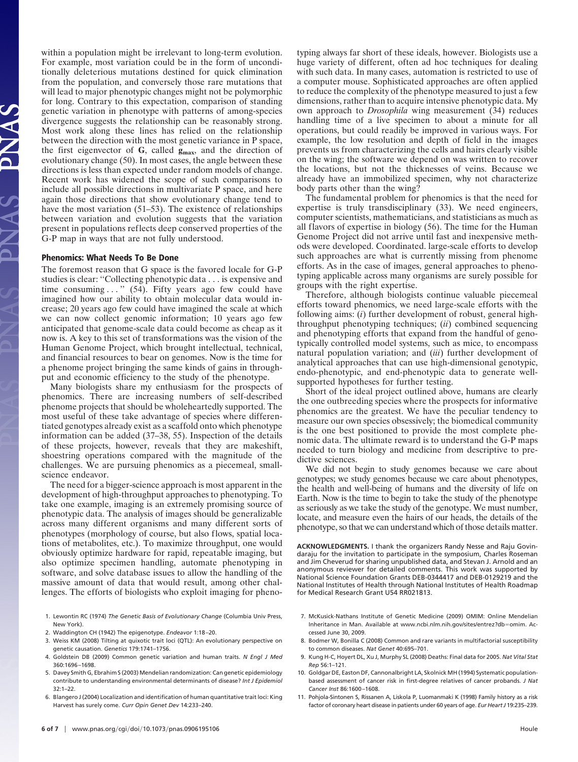within a population might be irrelevant to long-term evolution. For example, most variation could be in the form of unconditionally deleterious mutations destined for quick elimination from the population, and conversely those rare mutations that will lead to major phenotypic changes might not be polymorphic for long. Contrary to this expectation, comparison of standing genetic variation in phenotype with patterns of among-species divergence suggests the relationship can be reasonably strong. Most work along these lines has relied on the relationship between the direction with the most genetic variance in P space, the first eigenvector of **G**, called **gmax**, and the direction of evolutionary change (50). In most cases, the angle between these directions is less than expected under random models of change. Recent work has widened the scope of such comparisons to include all possible directions in multivariate P space, and here again those directions that show evolutionary change tend to have the most variation (51–53). The existence of relationships between variation and evolution suggests that the variation present in populations reflects deep conserved properties of the G-P map in ways that are not fully understood.

#### **Phenomics: What Needs To Be Done**

The foremost reason that G space is the favored locale for G-P studies is clear: ''Collecting phenotypic data . . . is expensive and time consuming  $\ldots$  " (54). Fifty years ago few could have imagined how our ability to obtain molecular data would increase; 20 years ago few could have imagined the scale at which we can now collect genomic information; 10 years ago few anticipated that genome-scale data could become as cheap as it now is. A key to this set of transformations was the vision of the Human Genome Project, which brought intellectual, technical, and financial resources to bear on genomes. Now is the time for a phenome project bringing the same kinds of gains in throughput and economic efficiency to the study of the phenotype.

Many biologists share my enthusiasm for the prospects of phenomics. There are increasing numbers of self-described phenome projects that should be wholeheartedly supported. The most useful of these take advantage of species where differentiated genotypes already exist as a scaffold onto which phenotype information can be added (37–38, 55). Inspection of the details of these projects, however, reveals that they are makeshift, shoestring operations compared with the magnitude of the challenges. We are pursuing phenomics as a piecemeal, smallscience endeavor.

The need for a bigger-science approach is most apparent in the development of high-throughput approaches to phenotyping. To take one example, imaging is an extremely promising source of phenotypic data. The analysis of images should be generalizable across many different organisms and many different sorts of phenotypes (morphology of course, but also flows, spatial locations of metabolites, etc.). To maximize throughput, one would obviously optimize hardware for rapid, repeatable imaging, but also optimize specimen handling, automate phenotyping in software, and solve database issues to allow the handling of the massive amount of data that would result, among other challenges. The efforts of biologists who exploit imaging for pheno-

- 1. Lewontin RC (1974) *The Genetic Basis of Evolutionary Change* (Columbia Univ Press, New York).
- 2. Waddington CH (1942) The epigenotype. *Endeavor* 1:18–20.
- 3. Weiss KM (2008) Tilting at quixotic trait loci (QTL): An evolutionary perspective on genetic causation. *Genetics* 179:1741–1756.
- 4. Goldstein DB (2009) Common genetic variation and human traits. *N Engl J Med* 360:1696–1698.
- 5. Davey Smith G, Ebrahim S (2003) Mendelian randomization: Can genetic epidemiology contribute to understanding environmental determinants of disease? *Int J Epidemiol* 32:1–22.
- 6. Blangero J (2004) Localization and identification of human quantitative trait loci: King Harvest has surely come. *Curr Opin Genet Dev* 14:233–240.

typing always far short of these ideals, however. Biologists use a huge variety of different, often ad hoc techniques for dealing with such data. In many cases, automation is restricted to use of a computer mouse. Sophisticated approaches are often applied to reduce the complexity of the phenotype measured to just a few dimensions, rather than to acquire intensive phenotypic data. My own approach to *Drosophila* wing measurement (34) reduces handling time of a live specimen to about a minute for all operations, but could readily be improved in various ways. For example, the low resolution and depth of field in the images prevents us from characterizing the cells and hairs clearly visible on the wing; the software we depend on was written to recover the locations, but not the thicknesses of veins. Because we already have an immobilized specimen, why not characterize body parts other than the wing?

The fundamental problem for phenomics is that the need for expertise is truly transdisciplinary (33). We need engineers, computer scientists, mathematicians, and statisticians as much as all flavors of expertise in biology (56). The time for the Human Genome Project did not arrive until fast and inexpensive methods were developed. Coordinated. large-scale efforts to develop such approaches are what is currently missing from phenome efforts. As in the case of images, general approaches to phenotyping applicable across many organisms are surely possible for groups with the right expertise.

Therefore, although biologists continue valuable piecemeal efforts toward phenomics, we need large-scale efforts with the following aims: (*i*) further development of robust, general highthroughput phenotyping techniques; (*ii*) combined sequencing and phenotyping efforts that expand from the handful of genotypically controlled model systems, such as mice, to encompass natural population variation; and (*iii*) further development of analytical approaches that can use high-dimensional genotypic, endo-phenotypic, and end-phenotypic data to generate wellsupported hypotheses for further testing.

Short of the ideal project outlined above, humans are clearly the one outbreeding species where the prospects for informative phenomics are the greatest. We have the peculiar tendency to measure our own species obsessively; the biomedical community is the one best positioned to provide the most complete phenomic data. The ultimate reward is to understand the G-P maps needed to turn biology and medicine from descriptive to predictive sciences.

We did not begin to study genomes because we care about genotypes; we study genomes because we care about phenotypes, the health and well-being of humans and the diversity of life on Earth. Now is the time to begin to take the study of the phenotype as seriously as we take the study of the genotype. We must number, locate, and measure even the hairs of our heads, the details of the phenotype, so that we can understand which of those details matter.

**ACKNOWLEDGMENTS.** I thank the organizers Randy Nesse and Raju Govindaraju for the invitation to participate in the symposium, Charles Roseman and Jim Cheverud for sharing unpublished data, and Stevan J. Arnold and an anonymous reviewer for detailed comments. This work was supported by National Science Foundation Grants DEB-0344417 and DEB-0129219 and the National Institutes of Health through National Institutes of Health Roadmap for Medical Research Grant U54 RR021813.

- 7. McKusick-Nathans Institute of Genetic Medicine (2009) OMIM: Online Mendelian Inheritance in Man. Available at www.ncbi.nlm.nih.gov/sites/entrez?db=omim. Accessed June 30, 2009.
- 8. Bodmer W, Bonilla C (2008) Common and rare variants in multifactorial susceptibility to common diseases. *Nat Genet* 40:695–701.
- 9. Kung H-C, Hoyert DL, Xu J, Murphy SL (2008) Deaths: Final data for 2005. *Nat Vital Stat Rep* 56:1–121.
- 10. Goldgar DE, Easton DF, Cannonalbright LA, Skolnick MH (1994) Systematic populationbased assessment of cancer risk in first-degree relatives of cancer probands. *J Nat Cancer Inst* 86:1600–1608.
- 11. Pohjola-Sintonen S, Rissanen A, Liskola P, Luomanmaki K (1998) Family history as a risk factor of coronary heart disease in patients under 60 years of age. *Eur Heart J* 19:235–239.